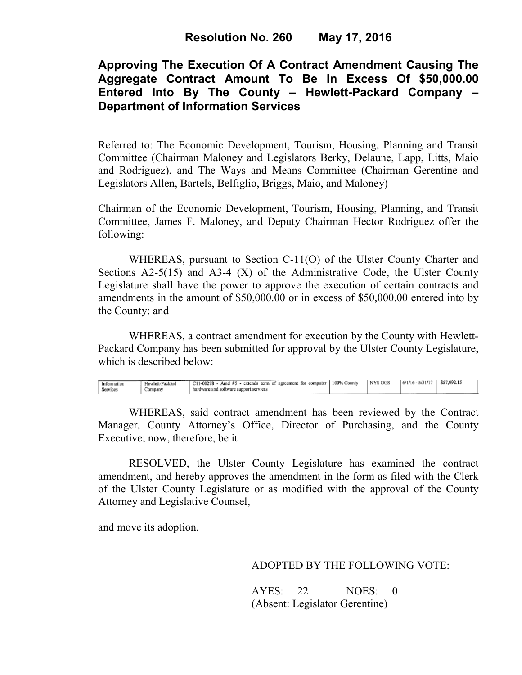# **Approving The Execution Of A Contract Amendment Causing The Aggregate Contract Amount To Be In Excess Of \$50,000.00 Entered Into By The County – Hewlett-Packard Company – Department of Information Services**

Referred to: The Economic Development, Tourism, Housing, Planning and Transit Committee (Chairman Maloney and Legislators Berky, Delaune, Lapp, Litts, Maio and Rodriguez), and The Ways and Means Committee (Chairman Gerentine and Legislators Allen, Bartels, Belfiglio, Briggs, Maio, and Maloney)

Chairman of the Economic Development, Tourism, Housing, Planning, and Transit Committee, James F. Maloney, and Deputy Chairman Hector Rodriguez offer the following:

WHEREAS, pursuant to Section C-11(O) of the Ulster County Charter and Sections  $A2-5(15)$  and  $A3-4(X)$  of the Administrative Code, the Ulster County Legislature shall have the power to approve the execution of certain contracts and amendments in the amount of \$50,000.00 or in excess of \$50,000.00 entered into by the County; and

 WHEREAS, a contract amendment for execution by the County with Hewlett-Packard Company has been submitted for approval by the Ulster County Legislature, which is described below:

| 6/1/16 - 5/31/17   \$57,092.15<br>NYS OGS<br>U C11-00278 - Amd #5 - extends term of agreement for computer   100% County<br>Hewlett-Packard<br>Information<br>Services<br>hardware and software support services<br>Company |  |
|-----------------------------------------------------------------------------------------------------------------------------------------------------------------------------------------------------------------------------|--|
|-----------------------------------------------------------------------------------------------------------------------------------------------------------------------------------------------------------------------------|--|

WHEREAS, said contract amendment has been reviewed by the Contract Manager, County Attorney's Office, Director of Purchasing, and the County Executive; now, therefore, be it

RESOLVED, the Ulster County Legislature has examined the contract amendment, and hereby approves the amendment in the form as filed with the Clerk of the Ulster County Legislature or as modified with the approval of the County Attorney and Legislative Counsel,

and move its adoption.

ADOPTED BY THE FOLLOWING VOTE:

AYES: 22 NOES: 0 (Absent: Legislator Gerentine)